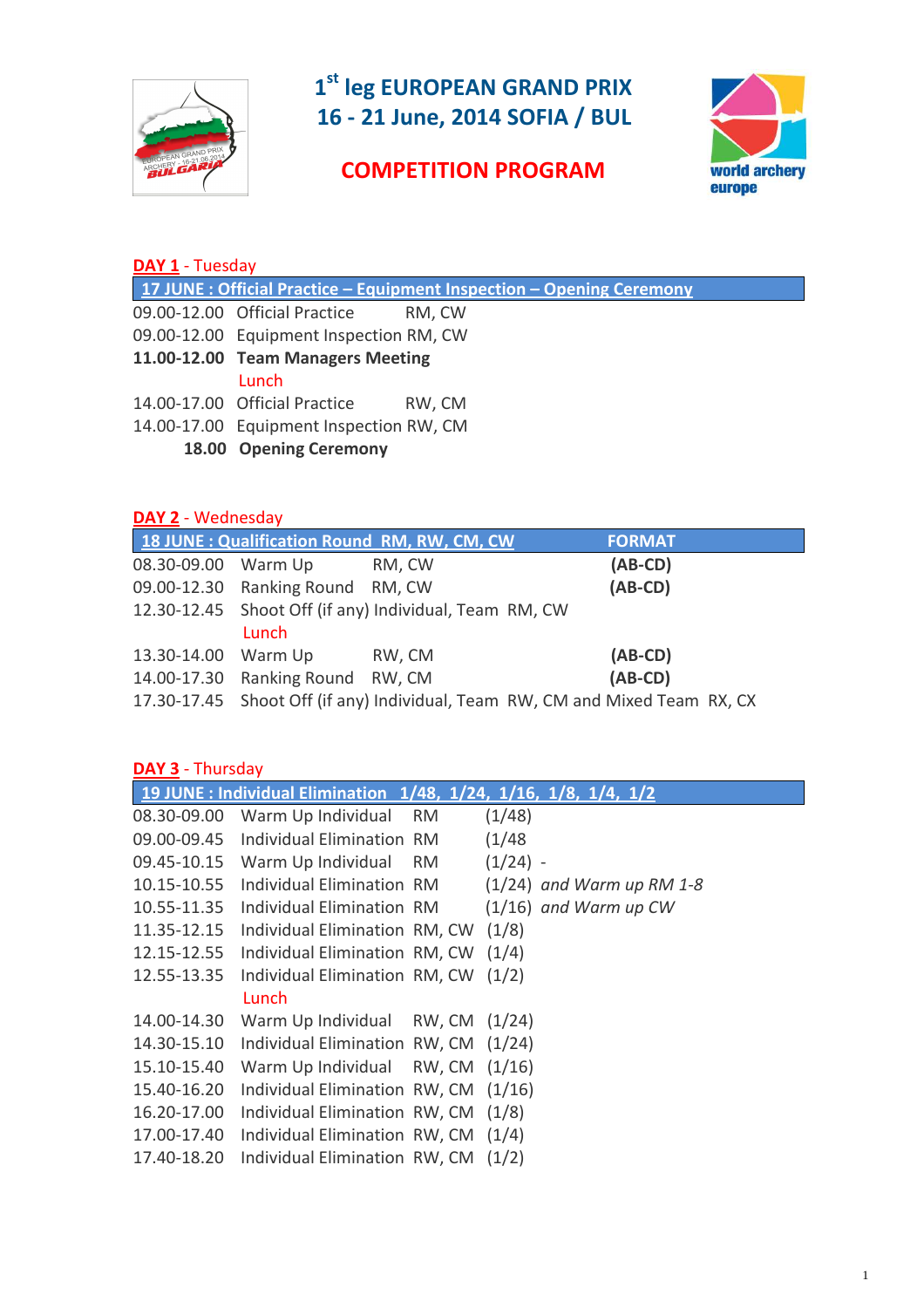

# **1st leg EUROPEAN GRAND PRIX 16 - 21 June, 2014 SOFIA / BUL**

# world archery<br>europe

# **COMPETITION PROGRAM**

| DAY 1 - Tuesday                                                      |                                         |  |  |  |  |
|----------------------------------------------------------------------|-----------------------------------------|--|--|--|--|
| 17 JUNE: Official Practice - Equipment Inspection - Opening Ceremony |                                         |  |  |  |  |
|                                                                      | 09.00-12.00 Official Practice<br>RM, CW |  |  |  |  |
|                                                                      | 09.00-12.00 Equipment Inspection RM, CW |  |  |  |  |
|                                                                      | 11.00-12.00 Team Managers Meeting       |  |  |  |  |
|                                                                      | Lunch                                   |  |  |  |  |
|                                                                      | 14.00-17.00 Official Practice<br>RW, CM |  |  |  |  |
|                                                                      | 14.00-17.00 Equipment Inspection RW, CM |  |  |  |  |
|                                                                      | 18.00 Opening Ceremony                  |  |  |  |  |

## **DAY 2** - Wednesday

|                     |                                  | 18 JUNE : Qualification Round RM, RW, CM, CW                                 | <b>FORMAT</b> |  |
|---------------------|----------------------------------|------------------------------------------------------------------------------|---------------|--|
| 08.30-09.00 Warm Up |                                  | RM, CW                                                                       | $(AB-CD)$     |  |
|                     | 09.00-12.30 Ranking Round RM, CW |                                                                              | $(AB-CD)$     |  |
|                     |                                  | 12.30-12.45 Shoot Off (if any) Individual, Team RM, CW                       |               |  |
|                     | Lunch                            |                                                                              |               |  |
| 13.30-14.00 Warm Up |                                  | RW, CM                                                                       | $(AB-CD)$     |  |
|                     | 14.00-17.30 Ranking Round RW, CM |                                                                              | $(AB-CD)$     |  |
|                     |                                  | 17.30-17.45 Shoot Off (if any) Individual, Team RW, CM and Mixed Team RX, CX |               |  |

## **DAY 3** - Thursday

|             |                                      |           | 19 JUNE : Individual Elimination 1/48, 1/24, 1/16, 1/8, 1/4, 1/2 |
|-------------|--------------------------------------|-----------|------------------------------------------------------------------|
| 08.30-09.00 | Warm Up Individual                   | <b>RM</b> | (1/48)                                                           |
| 09.00-09.45 | <b>Individual Elimination RM</b>     |           | (1/48)                                                           |
| 09.45-10.15 | Warm Up Individual RM                |           | $(1/24)$ -                                                       |
| 10.15-10.55 | <b>Individual Elimination RM</b>     |           | $(1/24)$ and Warm up RM 1-8                                      |
| 10.55-11.35 | Individual Elimination RM            |           | $(1/16)$ and Warm up CW                                          |
| 11.35-12.15 | Individual Elimination RM, CW        |           | (1/8)                                                            |
| 12.15-12.55 | Individual Elimination RM, CW        |           | (1/4)                                                            |
| 12.55-13.35 | Individual Elimination RM, CW        |           | (1/2)                                                            |
|             | Lunch                                |           |                                                                  |
| 14.00-14.30 | Warm Up Individual RW, CM (1/24)     |           |                                                                  |
| 14.30-15.10 | Individual Elimination RW, CM (1/24) |           |                                                                  |
| 15.10-15.40 | Warm Up Individual RW, CM (1/16)     |           |                                                                  |
| 15.40-16.20 | Individual Elimination RW, CM (1/16) |           |                                                                  |
| 16.20-17.00 | Individual Elimination RW, CM (1/8)  |           |                                                                  |
| 17.00-17.40 | Individual Elimination RW, CM (1/4)  |           |                                                                  |
| 17.40-18.20 | Individual Elimination RW, CM        |           | (1/2)                                                            |
|             |                                      |           |                                                                  |